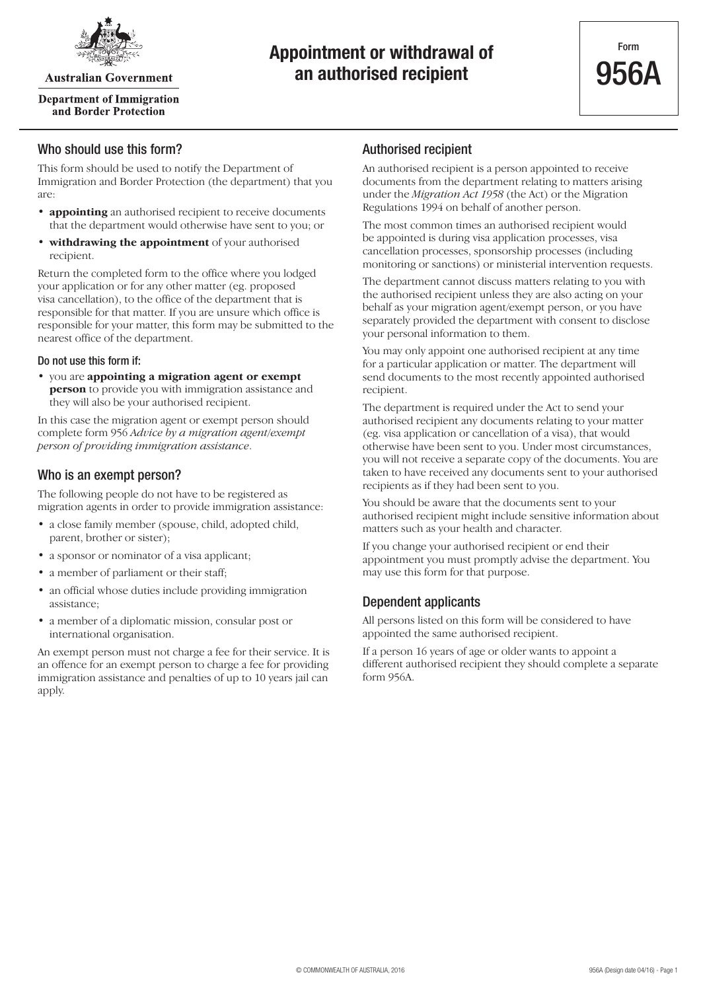

**Australian Government** 

#### **Department of Immigration** and Border Protection

## **Appointment or withdrawal of an authorised recipient**

#### Who should use this form?

This form should be used to notify the Department of Immigration and Border Protection (the department) that you are:

- **appointing** an authorised recipient to receive documents that the department would otherwise have sent to you; or
- **withdrawing the appointment** of your authorised recipient.

Return the completed form to the office where you lodged your application or for any other matter (eg. proposed visa cancellation), to the office of the department that is responsible for that matter. If you are unsure which office is responsible for your matter, this form may be submitted to the nearest office of the department.

#### Do not use this form if:

• you are **appointing a migration agent or exempt person** to provide you with immigration assistance and they will also be your authorised recipient.

In this case the migration agent or exempt person should complete form 956 *Advice by a migration agent/exempt person of providing immigration assistance*.

### Who is an exempt person?

The following people do not have to be registered as migration agents in order to provide immigration assistance:

- a close family member (spouse, child, adopted child, parent, brother or sister);
- a sponsor or nominator of a visa applicant;
- a member of parliament or their staff;
- an official whose duties include providing immigration assistance;
- a member of a diplomatic mission, consular post or international organisation.

An exempt person must not charge a fee for their service. It is an offence for an exempt person to charge a fee for providing immigration assistance and penalties of up to 10 years jail can apply.

#### Authorised recipient

An authorised recipient is a person appointed to receive documents from the department relating to matters arising under the *Migration Act 1958* (the Act) or the Migration Regulations 1994 on behalf of another person.

The most common times an authorised recipient would be appointed is during visa application processes, visa cancellation processes, sponsorship processes (including monitoring or sanctions) or ministerial intervention requests.

The department cannot discuss matters relating to you with the authorised recipient unless they are also acting on your behalf as your migration agent/exempt person, or you have separately provided the department with consent to disclose your personal information to them.

You may only appoint one authorised recipient at any time for a particular application or matter. The department will send documents to the most recently appointed authorised recipient.

The department is required under the Act to send your authorised recipient any documents relating to your matter (eg. visa application or cancellation of a visa), that would otherwise have been sent to you. Under most circumstances, you will not receive a separate copy of the documents. You are taken to have received any documents sent to your authorised recipients as if they had been sent to you.

You should be aware that the documents sent to your authorised recipient might include sensitive information about matters such as your health and character.

If you change your authorised recipient or end their appointment you must promptly advise the department. You may use this form for that purpose.

## Dependent applicants

All persons listed on this form will be considered to have appointed the same authorised recipient.

If a person 16 years of age or older wants to appoint a different authorised recipient they should complete a separate form 956A.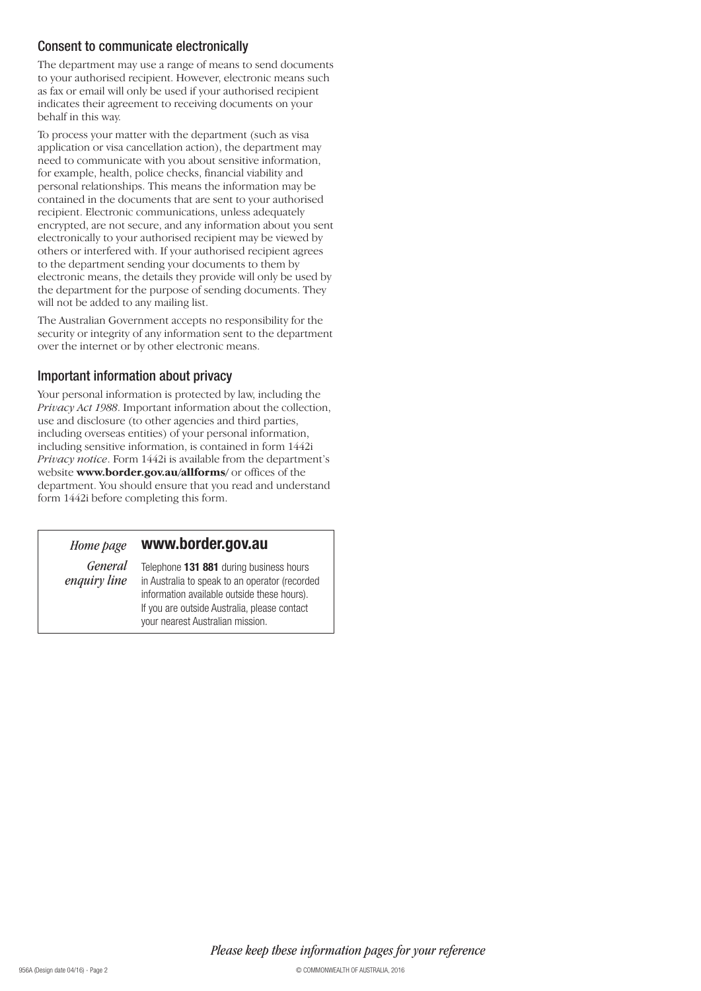### Consent to communicate electronically

The department may use a range of means to send documents to your authorised recipient. However, electronic means such as fax or email will only be used if your authorised recipient indicates their agreement to receiving documents on your behalf in this way.

To process your matter with the department (such as visa application or visa cancellation action), the department may need to communicate with you about sensitive information, for example, health, police checks, financial viability and personal relationships. This means the information may be contained in the documents that are sent to your authorised recipient. Electronic communications, unless adequately encrypted, are not secure, and any information about you sent electronically to your authorised recipient may be viewed by others or interfered with. If your authorised recipient agrees to the department sending your documents to them by electronic means, the details they provide will only be used by the department for the purpose of sending documents. They will not be added to any mailing list.

The Australian Government accepts no responsibility for the security or integrity of any information sent to the department over the internet or by other electronic means.

### Important information about privacy

Your personal information is protected by law, including the *Privacy Act 1988*. Important information about the collection, use and disclosure (to other agencies and third parties, including overseas entities) of your personal information, including sensitive information, is contained in form 1442i *Privacy notice*. Form 1442i is available from the department's website **www.border.gov.au/allforms/** or offices of the department. You should ensure that you read and understand form 1442i before completing this form.

#### **www.border.gov.au** *Home page*

*General enquiry line*

Telephone **131 881** during business hours in Australia to speak to an operator (recorded information available outside these hours). If you are outside Australia, please contact your nearest Australian mission.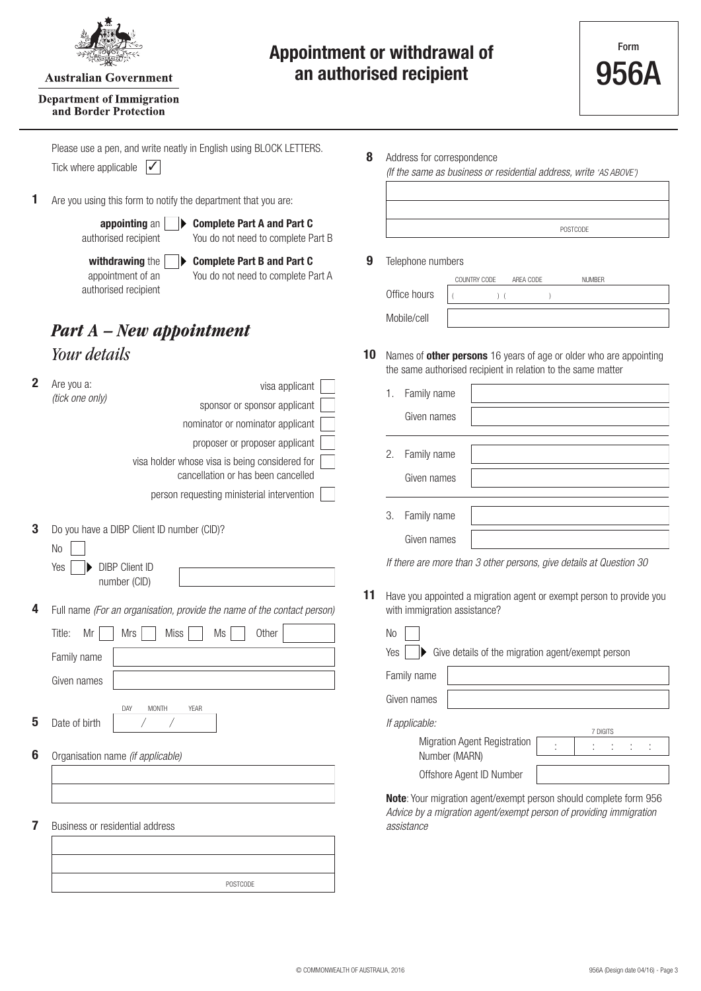

**Australian Government** 

#### **Department of Immigration** and Border Protection

## **Appointment or withdrawal of an authorised recipient**

Tick where applicable  $\boxed{\checkmark}$ Please use a pen, and write neatly in English using BLOCK LETTERS.

**1** Are you using this form to notify the department that you are:

**appointing** an authorised recipient

**Complete Part A and Part C** You do not need to complete Part B

**withdrawing** the appointment of an authorised recipient

**Complete Part B and Part C** You do not need to complete Part A

## *Your details Part A – New appointment*

| $\overline{2}$ | Are you a:                                                                     | visa applicant                                                                                                         |    | Family name<br>1.                                                                                                                                                     |  |
|----------------|--------------------------------------------------------------------------------|------------------------------------------------------------------------------------------------------------------------|----|-----------------------------------------------------------------------------------------------------------------------------------------------------------------------|--|
|                | (tick one only)                                                                | sponsor or sponsor applicant                                                                                           |    |                                                                                                                                                                       |  |
|                |                                                                                | nominator or nominator applicant                                                                                       |    | Given names                                                                                                                                                           |  |
|                |                                                                                | proposer or proposer applicant                                                                                         |    | 2.<br>Family name                                                                                                                                                     |  |
|                |                                                                                | visa holder whose visa is being considered for<br>cancellation or has been cancelled                                   |    | Given names                                                                                                                                                           |  |
|                |                                                                                | person requesting ministerial intervention                                                                             |    |                                                                                                                                                                       |  |
| 3              | Do you have a DIBP Client ID number (CID)?                                     |                                                                                                                        |    | Family name<br>3.<br>Given names                                                                                                                                      |  |
|                | N <sub>o</sub>                                                                 |                                                                                                                        |    | If there are more than 3                                                                                                                                              |  |
|                | <b>DIBP Client ID</b><br>Yes<br>number (CID)                                   |                                                                                                                        |    |                                                                                                                                                                       |  |
| 4<br>5         | Title:<br>Mr<br>Mrs<br>Family name<br>Given names<br>DAY<br>Date of birth<br>Τ | Full name (For an organisation, provide the name of the contact person)<br>Miss<br>Ms<br>Other<br><b>MONTH</b><br>YEAR | 11 | Have you appointed a m<br>with immigration assista<br>N <sub>0</sub><br>Give details<br>Yes<br>Family name<br>Given names<br>If applicable:<br><b>Migration Agent</b> |  |
| 6              | Organisation name (if applicable)                                              |                                                                                                                        |    | Number (MARN                                                                                                                                                          |  |
|                |                                                                                |                                                                                                                        |    | Offshore Agent                                                                                                                                                        |  |
| 7              | Business or residential address                                                |                                                                                                                        |    | Note: Your migration ag<br>Advice by a migration a<br>assistance                                                                                                      |  |
|                |                                                                                | POSTCODE                                                                                                               |    |                                                                                                                                                                       |  |

**8** Address for correspondence

*(If the same as business or residential address, write 'AS ABOVE')*

|  | POSTCODE |
|--|----------|
|  |          |

**9** Telephone numbers

|              | COUNTRY CODE | AREA CODE | <b>NUMBER</b> |  |
|--------------|--------------|-----------|---------------|--|
| Office hours |              |           |               |  |
| Mobile/cell  |              |           |               |  |

**10** Names of **other persons** 16 years of age or older who are appointing the same authorised recipient in relation to the same matter

| 1. Family name                |  |
|-------------------------------|--|
| Given names                   |  |
| 2. Family name<br>Given names |  |
| 3. Family name<br>Civon namos |  |

*<i>I* other persons, give details at Question 30

**11** have a migration agent or exempt person to provide you ance?

| Ś |           |  | $\blacktriangleright$ Give details of the |  |
|---|-----------|--|-------------------------------------------|--|
|   | mily name |  |                                           |  |

he migration agent/exempt person

Registration Number (MARN) ID Number

| 7 DIGITS |  |  |  |  |  |  |  |
|----------|--|--|--|--|--|--|--|
|          |  |  |  |  |  |  |  |
|          |  |  |  |  |  |  |  |
|          |  |  |  |  |  |  |  |

ent/exempt person should complete form 956 *Advice by a migration agent/exempt person of providing immigration*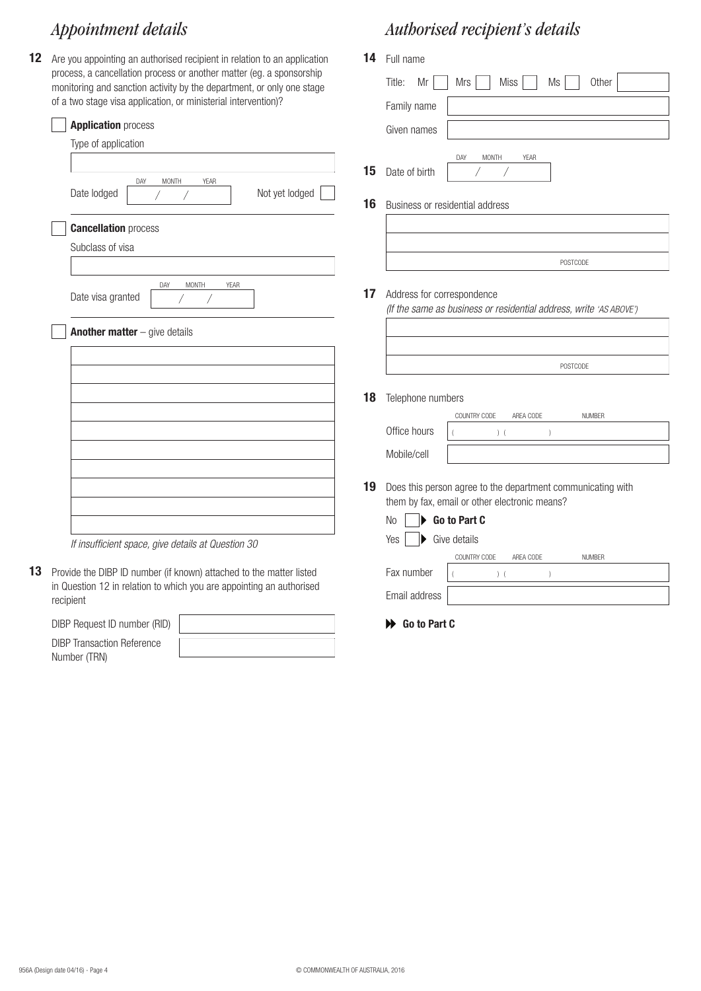## *Appointment details Authorised recipient's details*

**12** Are you appointing an authorised recipient in relation to an application process, a cancellation process or another matter (eg. a sponsorship monitoring and sanction activity by the department, or only one stage of a two stage visa application, or ministerial intervention)?

| or a two stage visa application, or ministerial intervention)?                                                                              | Family name                                                                                                        |
|---------------------------------------------------------------------------------------------------------------------------------------------|--------------------------------------------------------------------------------------------------------------------|
| <b>Application process</b>                                                                                                                  | Given names                                                                                                        |
| Type of application<br>DAY<br><b>MONTH</b><br>YEAR<br>Not yet lodged<br>Date lodged                                                         | DAY<br><b>MONTH</b><br><b>YEAR</b><br>15<br>Date of birth                                                          |
| <b>Cancellation process</b>                                                                                                                 | 16<br>Business or residential address                                                                              |
| Subclass of visa                                                                                                                            | POSTCODE                                                                                                           |
| DAY<br>MONTH<br><b>YEAR</b><br>Date visa granted                                                                                            | 17<br>Address for correspondence<br>(If the same as business or residential address, write 'AS ABOVE')             |
| <b>Another matter</b> $-$ give details                                                                                                      | POSTCODE                                                                                                           |
|                                                                                                                                             | 18<br>Telephone numbers                                                                                            |
|                                                                                                                                             | COUNTRY CODE<br><b>NUMBER</b><br>AREA CODE<br>Office hours<br>$)$ (                                                |
|                                                                                                                                             | Mobile/cell                                                                                                        |
|                                                                                                                                             | 19<br>Does this person agree to the department communicating with<br>them by fax, email or other electronic means? |
| If insufficient space, give details at Question 30                                                                                          | Go to Part C<br>N <sub>o</sub><br>ь<br>Give details<br>Yes<br>▶                                                    |
|                                                                                                                                             | <b>NUMBER</b><br>COUNTRY CODE<br>AREA CODE                                                                         |
| Provide the DIBP ID number (if known) attached to the matter listed<br>in Question 12 in relation to which you are appointing an authorised | Fax number<br>$)$ (                                                                                                |
| recipient                                                                                                                                   | Email address                                                                                                      |

**14** Full name

Title:  $Mr \tMis \tMiss \tMis$  Ms other

 $\overline{1}$ 

**Go to Part C**

DIBP Request ID number (RID) DIBP Transaction Reference

Number (TRN)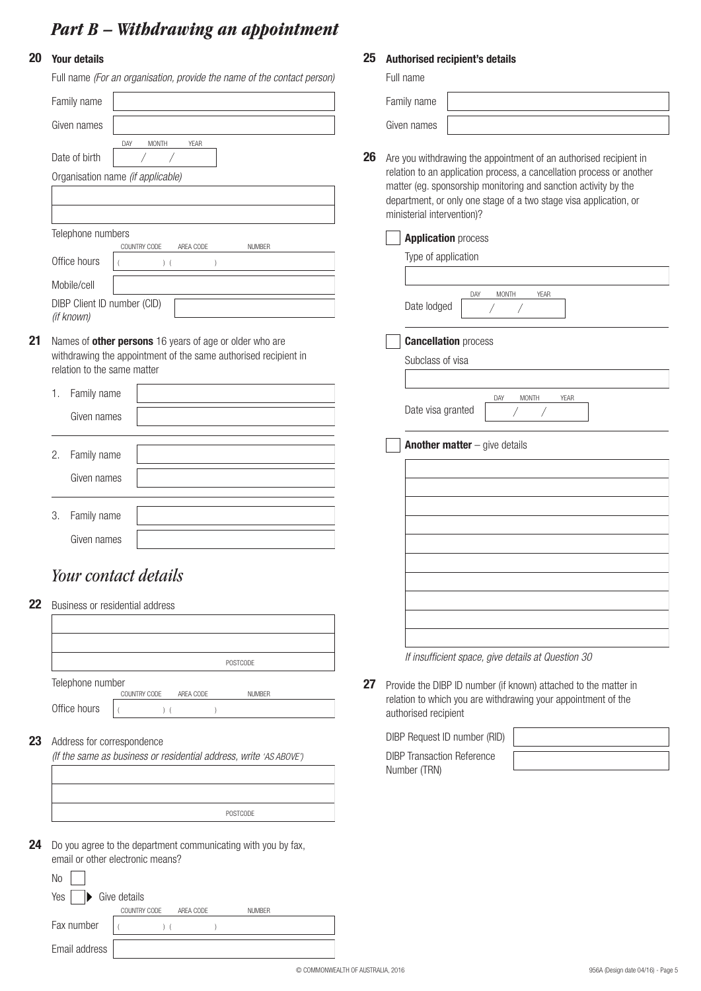## *Part B – Withdrawing an appointment*

#### **20 Your details**

| Full name (For an organisation, provide the name of the contact person)                           |    | Full name                       |
|---------------------------------------------------------------------------------------------------|----|---------------------------------|
| Family name                                                                                       |    | Family name                     |
| Given names                                                                                       |    | Given names                     |
| DAY<br><b>MONTH</b><br><b>YEAR</b>                                                                |    |                                 |
| Date of birth<br>Τ                                                                                | 26 | Are you with                    |
| Organisation name (if applicable)                                                                 |    | relation to ar<br>matter (eg. s |
|                                                                                                   |    | department,                     |
|                                                                                                   |    | ministerial in                  |
| Telephone numbers<br>COUNTRY CODE<br>AREA CODE<br><b>NUMBER</b>                                   |    | <b>Applica</b>                  |
| Office hours<br>$)$ (<br>$\left( \right)$                                                         |    | Type of                         |
| Mobile/cell                                                                                       |    |                                 |
| DIBP Client ID number (CID)<br>(if known)                                                         |    | Date loo                        |
| Names of other persons 16 years of age or older who are                                           |    | <b>Cancell</b>                  |
| withdrawing the appointment of the same authorised recipient in                                   |    | <b>Subclas</b>                  |
| relation to the same matter                                                                       |    |                                 |
| Family name<br>1.                                                                                 |    |                                 |
| Given names                                                                                       |    | Date vis                        |
|                                                                                                   |    | <b>Anothe</b>                   |
| Family name<br>2.                                                                                 |    |                                 |
| Given names                                                                                       |    |                                 |
| 3.<br>Family name                                                                                 |    |                                 |
| Given names                                                                                       |    |                                 |
|                                                                                                   |    |                                 |
| Your contact details                                                                              |    |                                 |
|                                                                                                   |    |                                 |
| Business or residential address                                                                   |    |                                 |
|                                                                                                   |    |                                 |
| POSTCODE                                                                                          |    | If insuffi                      |
| Telephone number                                                                                  | 27 | Provide the D                   |
| COUNTRY CODE<br>AREA CODE<br><b>NUMBER</b>                                                        |    | relation to wl                  |
| Office hours<br>$)$ (<br>$\left( \right)$                                                         |    | authorised re                   |
| Address for correspondence                                                                        |    | <b>DIBP Reques</b>              |
| (If the same as business or residential address, write 'AS ABOVE')                                |    | <b>DIBP</b> Transad             |
|                                                                                                   |    | Number (TRN                     |
|                                                                                                   |    |                                 |
| POSTCODE                                                                                          |    |                                 |
| Do you agree to the department communicating with you by fax,<br>email or other electronic means? |    |                                 |
| No                                                                                                |    |                                 |
| Give details<br>Yes                                                                               |    |                                 |
| COUNTRY CODE<br>AREA CODE<br><b>NUMBER</b>                                                        |    |                                 |
| Fax number<br>$)$ (<br>$\lambda$                                                                  |    |                                 |

#### **25 Authorised recipient's details**

| nily name |  |
|-----------|--|
| en names  |  |

**26** Are you withdrawing the appointment of an authorised recipient in relation to an application process, a cancellation process or another matter (eg. sponsorship monitoring and sanction activity by the department, or only one stage of a two stage visa application, or ministerial intervention)?

#### **Application** process

Type of application

|             | <b>DAY</b> | <b>MONTH</b> | YFAR |  |
|-------------|------------|--------------|------|--|
| Date lodged |            |              |      |  |

#### **Cancellation** process

| Subclass of visa  |     |              |      |  |
|-------------------|-----|--------------|------|--|
|                   |     |              |      |  |
| Date visa granted | DAY | <b>MONTH</b> | YFAR |  |

**Another matter** – give details

| <u> 1980 - Johann Barn, amerikansk politiker (</u> |  |
|----------------------------------------------------|--|
|                                                    |  |
|                                                    |  |
|                                                    |  |
|                                                    |  |
|                                                    |  |
|                                                    |  |
|                                                    |  |
|                                                    |  |
|                                                    |  |
|                                                    |  |
|                                                    |  |
|                                                    |  |
|                                                    |  |
|                                                    |  |
|                                                    |  |
|                                                    |  |
|                                                    |  |
|                                                    |  |
|                                                    |  |
|                                                    |  |

*If insufficient space, give details at Question 30*

**27** Provide the DIBP ID number (if known) attached to the matter in relation to which you are withdrawing your appointment of the authorised recipient

| DIBP Request ID number (RID)      |  |
|-----------------------------------|--|
| <b>DIBP Transaction Reference</b> |  |
| Number (TRN)                      |  |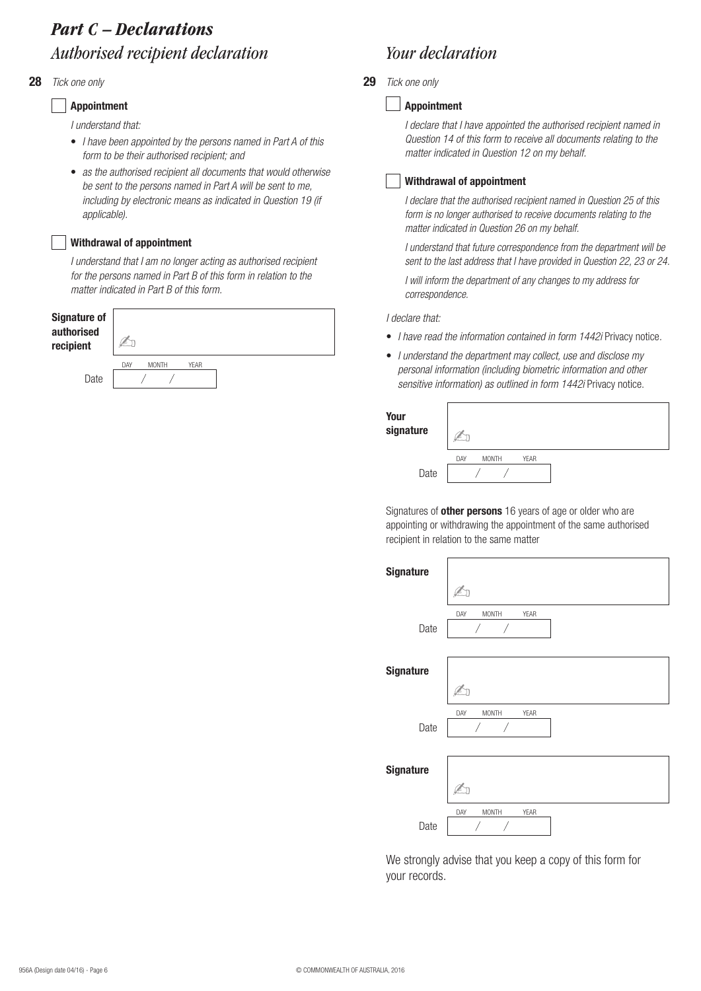## *Part C – Declarations Authorised recipient declaration Your declaration*

#### **28 29**

#### **Appointment**

*I understand that:*

- *I have been appointed by the persons named in Part A of this form to be their authorised recipient; and*
- *as the authorised recipient all documents that would otherwise be sent to the persons named in Part A will be sent to me, including by electronic means as indicated in Question 19 (if applicable).*

#### **Withdrawal of appointment**

*I understand that I am no longer acting as authorised recipient for the persons named in Part B of this form in relation to the matter indicated in Part B of this form.*

| <b>Signature of</b><br>authorised<br>recipient |     |              |             |  |
|------------------------------------------------|-----|--------------|-------------|--|
|                                                | DAY | <b>MONTH</b> | <b>YEAR</b> |  |
| Date                                           |     |              |             |  |

#### *Tick one only Tick one only*

#### **Appointment**

*I declare that I have appointed the authorised recipient named in Question 14 of this form to receive all documents relating to the matter indicated in Question 12 on my behalf.*

#### **Withdrawal of appointment**

*I declare that the authorised recipient named in Question 25 of this form is no longer authorised to receive documents relating to the matter indicated in Question 26 on my behalf.*

*I understand that future correspondence from the department will be sent to the last address that I have provided in Question 22, 23 or 24.*

*I will inform the department of any changes to my address for correspondence.*

*I declare that:*

- *I have read the information contained in form 1442i* Privacy notice*.*
- *I understand the department may collect, use and disclose my personal information (including biometric information and other*  sensitive information) as outlined in form 1442i Privacy notice.

| Your<br>signature |     |              |             |  |
|-------------------|-----|--------------|-------------|--|
|                   | DAY | <b>MONTH</b> | <b>YEAR</b> |  |
| Date              |     |              |             |  |

Signatures of **other persons** 16 years of age or older who are appointing or withdrawing the appointment of the same authorised recipient in relation to the same matter

| <b>Signature</b> |                             |
|------------------|-----------------------------|
|                  | <u>a</u>                    |
| Date             | DAY<br><b>MONTH</b><br>YEAR |
| <b>Signature</b> |                             |
| Date             | MONTH<br>YEAR<br>DAY        |
| <b>Signature</b> |                             |
| Date             | <b>MONTH</b><br>YEAR<br>DAY |

We strongly advise that you keep a copy of this form for your records.